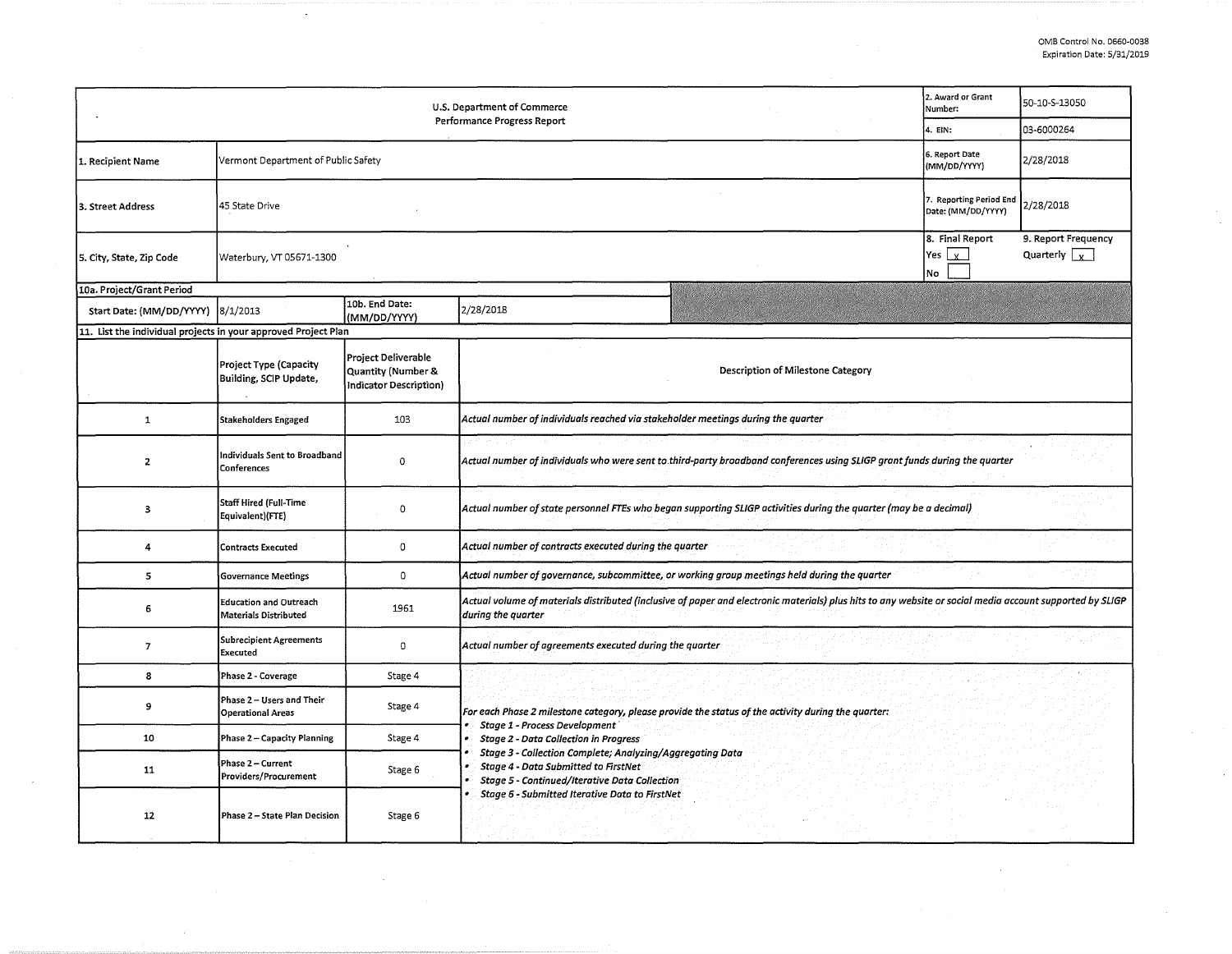| U.S. Department of Commerce<br>Performance Progress Report     |                                                        |                                                                     |                                                                                                                                                                                                                                                 | 2. Award or Grant<br>Number:                  | 50-10-S-13050                               |  |  |  |  |  |
|----------------------------------------------------------------|--------------------------------------------------------|---------------------------------------------------------------------|-------------------------------------------------------------------------------------------------------------------------------------------------------------------------------------------------------------------------------------------------|-----------------------------------------------|---------------------------------------------|--|--|--|--|--|
|                                                                | 4. EIN:                                                | 03-6000264                                                          |                                                                                                                                                                                                                                                 |                                               |                                             |  |  |  |  |  |
| 1. Recipient Name                                              | Vermont Department of Public Safety                    |                                                                     |                                                                                                                                                                                                                                                 | 6. Report Date<br>(MM/DD/YYYY)                | 2/28/2018                                   |  |  |  |  |  |
| 3. Street Address                                              | 45 State Drive                                         |                                                                     |                                                                                                                                                                                                                                                 | 7. Reporting Period End<br>Date: (MM/DD/YYYY) | 2/28/2018                                   |  |  |  |  |  |
| 5. City, State, Zip Code                                       | Waterbury, VT 05671-1300                               |                                                                     |                                                                                                                                                                                                                                                 | 8. Final Report<br>$Yes \mid x$<br>No         | 9. Report Frequency<br>Quarterly $\sqrt{x}$ |  |  |  |  |  |
| 10a. Project/Grant Period                                      |                                                        |                                                                     |                                                                                                                                                                                                                                                 |                                               |                                             |  |  |  |  |  |
| Start Date: (MM/DD/YYYY)                                       | 8/1/2013                                               | 10b. End Date:<br>(MM/DD/YYYY)                                      | 2/28/2018                                                                                                                                                                                                                                       |                                               |                                             |  |  |  |  |  |
| 11. List the individual projects in your approved Project Plan |                                                        |                                                                     |                                                                                                                                                                                                                                                 |                                               |                                             |  |  |  |  |  |
|                                                                | Project Type (Capacity<br>Building, SCIP Update,       | Project Deliverable<br>Quantity (Number &<br>Indicator Description) | Description of Milestone Category                                                                                                                                                                                                               |                                               |                                             |  |  |  |  |  |
| $\mathbf{1}$                                                   | <b>Stakeholders Engaged</b>                            | 103                                                                 | Actual number of individuals reached via stakeholder meetings during the quarter                                                                                                                                                                |                                               |                                             |  |  |  |  |  |
| $\mathbf{z}$                                                   | Individuals Sent to Broadband<br>Conferences           | $\Omega$                                                            | Actual number of individuals who were sent to third-party broadband conferences using SLIGP grant funds during the quarter                                                                                                                      |                                               |                                             |  |  |  |  |  |
| $\overline{\mathbf{3}}$                                        | <b>Staff Hired (Full-Time</b><br>Equivalent)(FTE)      | $\mathbf 0$                                                         | Actual number of state personnel FTEs who began supporting SLIGP activities during the quarter (may be a decimal)                                                                                                                               |                                               |                                             |  |  |  |  |  |
| 4                                                              | <b>Contracts Executed</b>                              | 0                                                                   | Actual number of contracts executed during the quarter                                                                                                                                                                                          |                                               |                                             |  |  |  |  |  |
| $\overline{5}$                                                 | <b>Governance Meetings</b>                             | $\mathbf 0$                                                         | Actual number of governance, subcommittee, or working group meetings held during the quarter                                                                                                                                                    |                                               |                                             |  |  |  |  |  |
| 6                                                              | <b>Education and Outreach</b><br>Materials Distributed | 1961                                                                | Actual volume of materials distributed (inclusive of paper and electronic materials) plus hits to any website or social media account supported by SLIGP<br>during the quarter                                                                  |                                               |                                             |  |  |  |  |  |
| $\overline{7}$                                                 | <b>Subrecipient Agreements</b><br><b>Executed</b>      | 0                                                                   | Actual number of agreements executed during the quarter                                                                                                                                                                                         |                                               |                                             |  |  |  |  |  |
| 8                                                              | Phase 2 - Coverage                                     | Stage 4                                                             |                                                                                                                                                                                                                                                 |                                               |                                             |  |  |  |  |  |
| 9                                                              | Phase 2 - Users and Their<br><b>Operational Areas</b>  | Stage 4                                                             | For each Phase 2 milestone category, please provide the status of the activity during the quarter:                                                                                                                                              |                                               |                                             |  |  |  |  |  |
| 10                                                             | Phase 2 - Capacity Planning                            | Stage 4                                                             | Stage 1 - Process Development<br><b>Stage 2 - Data Collection in Progress</b><br>٠<br>Stage 3 - Collection Complete; Analyzing/Aggregating Data<br><b>Stage 4 - Data Submitted to FirstNet</b><br>Stage 5 - Continued/Iterative Data Collection |                                               |                                             |  |  |  |  |  |
| 11                                                             | Phase 2 - Current<br>Providers/Procurement             | Stage 6                                                             |                                                                                                                                                                                                                                                 |                                               |                                             |  |  |  |  |  |
| 12                                                             | Phase 2 - State Plan Decision                          | Stage 6                                                             | Stage 6 - Submitted Iterative Data to FirstNet                                                                                                                                                                                                  |                                               |                                             |  |  |  |  |  |
|                                                                |                                                        |                                                                     |                                                                                                                                                                                                                                                 |                                               |                                             |  |  |  |  |  |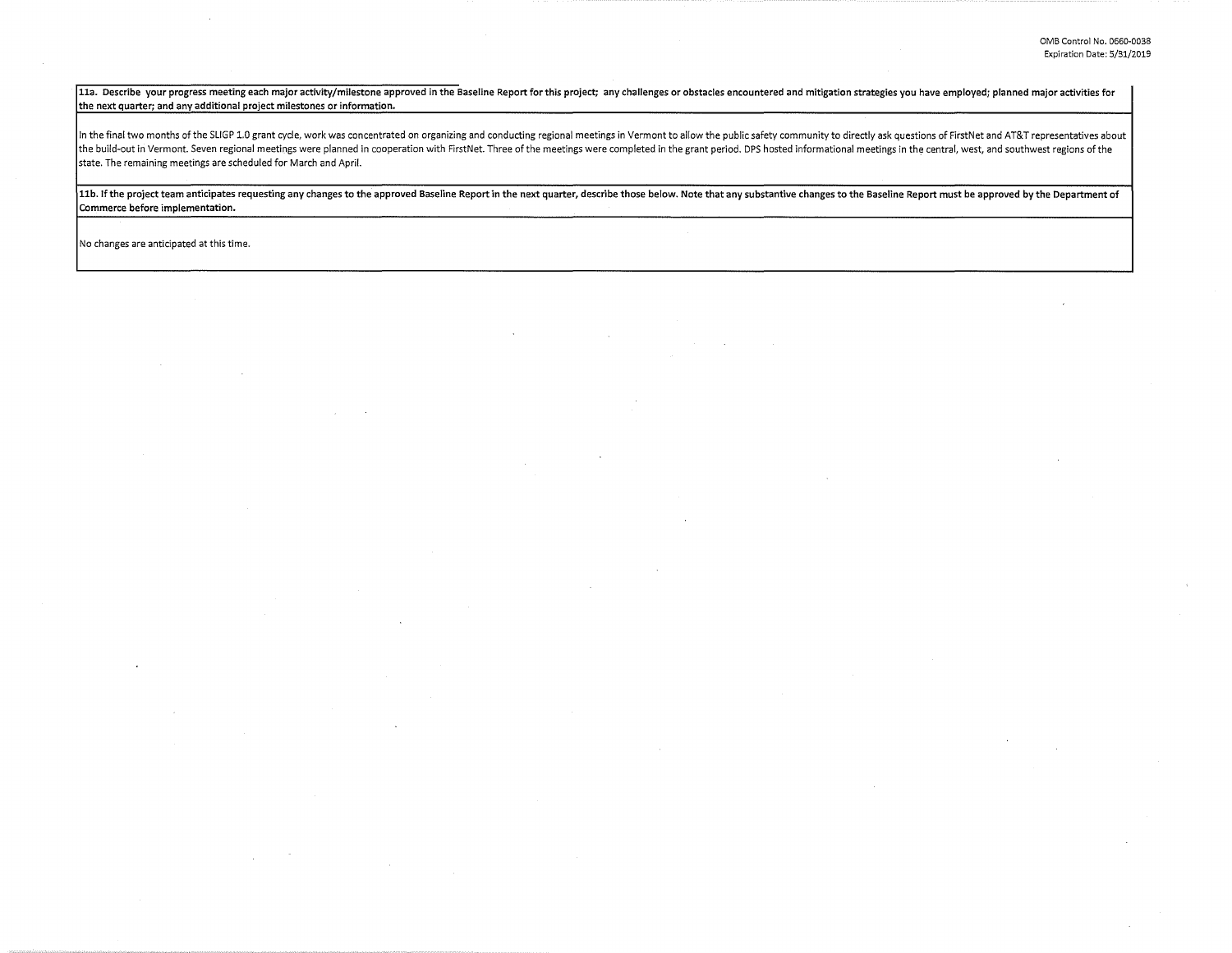11a. Describe your progress meeting each major activity/milestone approved in the Baseline Report for this project; any challenges or obstacles encountered and mitigation strategies you have employed; planned major activit the next quarter; and any additional project milestones or information.

In the final two months of the SLIGP 1.0 grant cycle, work was concentrated on organizing and conducting regional meetings in Vermont to allow the public safety community to directly ask questions of FirstNet and AT&T repr the build-out in Vermont. Seven regional meetings were planned in cooperation with FirstNet. Three of the meetings were completed in the grant period. DPS hosted informational meetings in the central, west, and southwest r state. The remaining meetings are scheduled for March and April.

11b. If the project team anticipates requesting any changes to the approved Baseline Report in the next quarter, describe those below. Note that any substantive changes to the Baseline Report must be approved by the Depart Commerce before implementation.

No changes are anticipated at this time.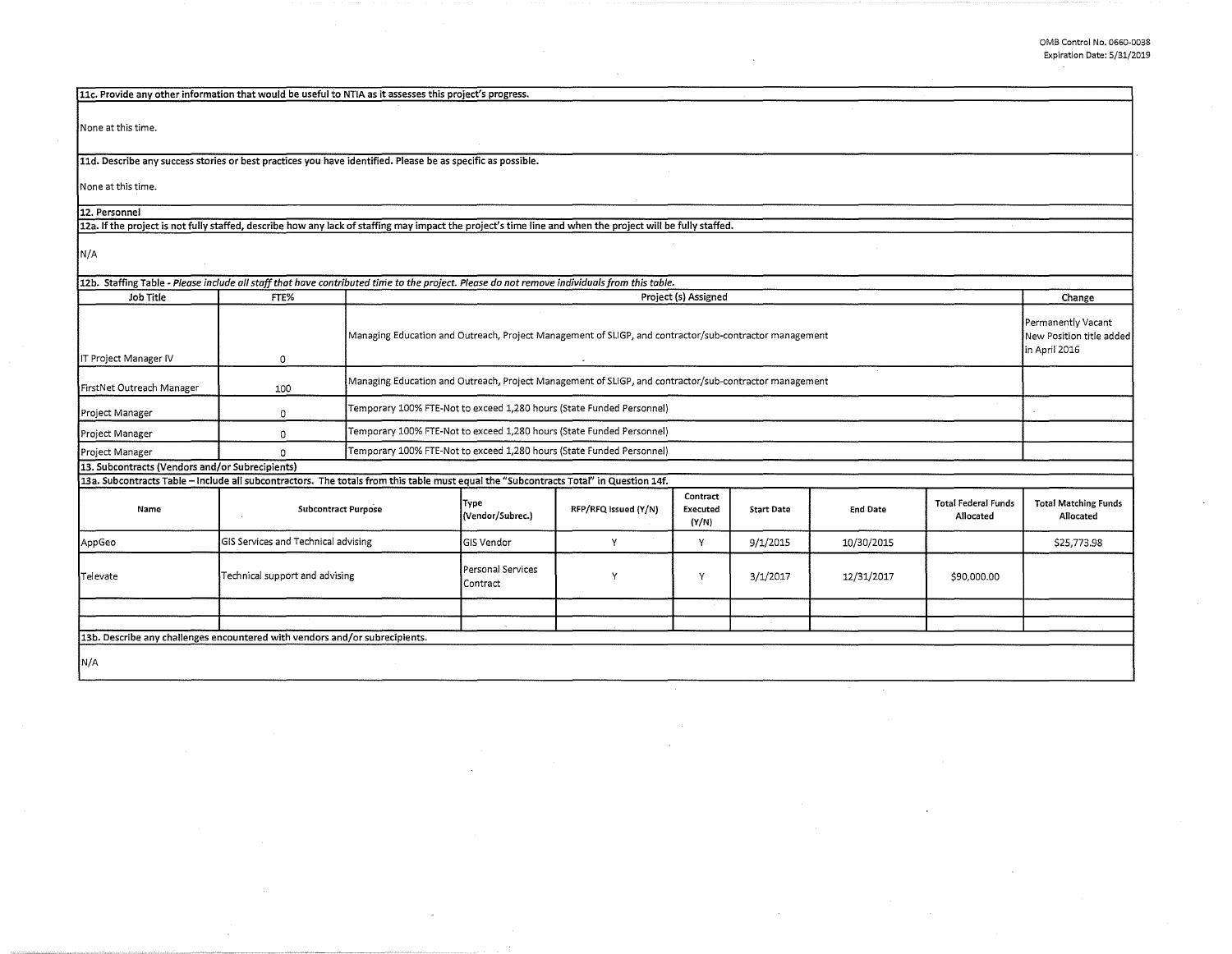$\sim 100$ 

| 11c. Provide any other information that would be useful to NTIA as it assesses this project's progress.                                                    |                                     |                            |                                                                       |                                                                                                        |                               |                   |                 |                                         |                                                                 |  |
|------------------------------------------------------------------------------------------------------------------------------------------------------------|-------------------------------------|----------------------------|-----------------------------------------------------------------------|--------------------------------------------------------------------------------------------------------|-------------------------------|-------------------|-----------------|-----------------------------------------|-----------------------------------------------------------------|--|
| None at this time.                                                                                                                                         |                                     |                            |                                                                       |                                                                                                        |                               |                   |                 |                                         |                                                                 |  |
| 11d. Describe any success stories or best practices you have identified. Please be as specific as possible.                                                |                                     |                            |                                                                       |                                                                                                        |                               |                   |                 |                                         |                                                                 |  |
| None at this time.                                                                                                                                         |                                     |                            |                                                                       |                                                                                                        |                               |                   |                 |                                         |                                                                 |  |
| 12. Personnel                                                                                                                                              |                                     |                            |                                                                       |                                                                                                        |                               |                   |                 |                                         |                                                                 |  |
| 12a. If the project is not fully staffed, describe how any lack of staffing may impact the project's time line and when the project will be fully staffed. |                                     |                            |                                                                       |                                                                                                        |                               |                   |                 |                                         |                                                                 |  |
| N/A                                                                                                                                                        |                                     |                            |                                                                       |                                                                                                        |                               |                   |                 |                                         |                                                                 |  |
| 12b. Staffing Table - Please include all staff that have contributed time to the project. Please do not remove individuals from this table.                |                                     |                            |                                                                       |                                                                                                        |                               |                   |                 |                                         |                                                                 |  |
| Job Title                                                                                                                                                  | FTE%                                |                            |                                                                       |                                                                                                        | Project (s) Assigned          |                   |                 |                                         | Change                                                          |  |
| IT Project Manager IV                                                                                                                                      | $\circ$                             |                            |                                                                       | Managing Education and Outreach, Project Management of SLIGP, and contractor/sub-contractor management |                               |                   |                 |                                         | Permanently Vacant<br>New Position title added<br>in April 2016 |  |
| FirstNet Outreach Manager                                                                                                                                  | 100                                 |                            |                                                                       | Managing Education and Outreach, Project Management of SLIGP, and contractor/sub-contractor management |                               |                   |                 |                                         |                                                                 |  |
| Project Manager                                                                                                                                            | 0                                   |                            | Temporary 100% FTE-Not to exceed 1,280 hours (State Funded Personnel) |                                                                                                        |                               |                   |                 |                                         |                                                                 |  |
| Project Manager                                                                                                                                            | 0                                   |                            | Temporary 100% FTE-Not to exceed 1,280 hours (State Funded Personnel) |                                                                                                        |                               |                   |                 |                                         |                                                                 |  |
| Project Manager                                                                                                                                            | $\Omega$                            |                            | Temporary 100% FTE-Not to exceed 1,280 hours (State Funded Personnel) |                                                                                                        |                               |                   |                 |                                         |                                                                 |  |
| 13. Subcontracts (Vendors and/or Subrecipients)                                                                                                            |                                     |                            |                                                                       |                                                                                                        |                               |                   |                 |                                         |                                                                 |  |
| 13a. Subcontracts Table - Include all subcontractors. The totals from this table must equal the "Subcontracts Total" in Question 14f.                      |                                     |                            |                                                                       |                                                                                                        |                               |                   |                 |                                         |                                                                 |  |
| Name                                                                                                                                                       |                                     | <b>Subcontract Purpose</b> | Type<br>(Vendor/Subrec.)                                              | RFP/RFQ Issued (Y/N)                                                                                   | Contract<br>Executed<br>(Y/N) | <b>Start Date</b> | <b>End Date</b> | <b>Total Federal Funds</b><br>Allocated | <b>Total Matching Funds</b><br>Allocated                        |  |
| AppGeo                                                                                                                                                     | GIS Services and Technical advising |                            | <b>GIS Vendor</b>                                                     | Υ                                                                                                      | Y                             | 9/1/2015          | 10/30/2015      |                                         | \$25,773.98                                                     |  |
| Televate                                                                                                                                                   | Technical support and advising      |                            | Personal Services<br>Contract                                         | Y                                                                                                      | Υ                             | 3/1/2017          | 12/31/2017      | \$90,000.00                             |                                                                 |  |
|                                                                                                                                                            |                                     |                            |                                                                       |                                                                                                        |                               |                   |                 |                                         |                                                                 |  |
| 13b. Describe any challenges encountered with vendors and/or subrecipients.                                                                                |                                     |                            |                                                                       |                                                                                                        |                               |                   |                 |                                         |                                                                 |  |
|                                                                                                                                                            |                                     |                            |                                                                       |                                                                                                        |                               |                   |                 |                                         |                                                                 |  |
| N/A                                                                                                                                                        |                                     |                            |                                                                       |                                                                                                        |                               |                   |                 |                                         |                                                                 |  |

 $\sim$ 

 $\sim$ 

 $\sim$